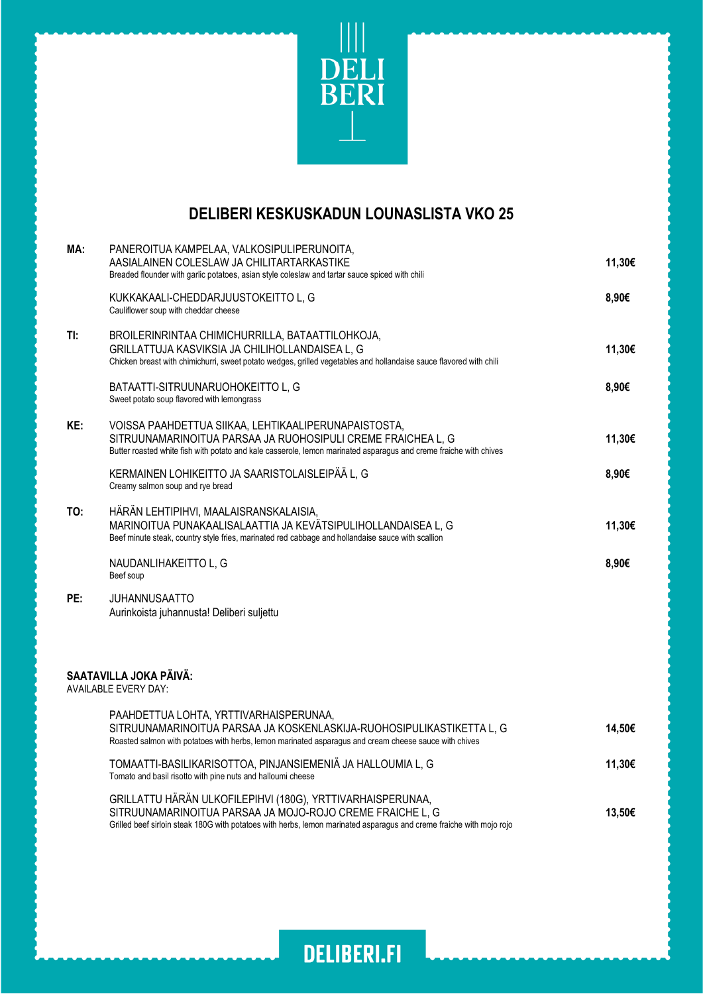

## **DELIBERI KESKUSKADUN LOUNASLISTA VKO 25**

| MA: | PANEROITUA KAMPELAA, VALKOSIPULIPERUNOITA,<br>AASIALAINEN COLESLAW JA CHILITARTARKASTIKE<br>Breaded flounder with garlic potatoes, asian style coleslaw and tartar sauce spiced with chili                                                      | 11,30€ |
|-----|-------------------------------------------------------------------------------------------------------------------------------------------------------------------------------------------------------------------------------------------------|--------|
|     | KUKKAKAALI-CHEDDARJUUSTOKEITTO L, G<br>Cauliflower soup with cheddar cheese                                                                                                                                                                     | 8,90€  |
| TI: | BROILERINRINTAA CHIMICHURRILLA, BATAATTILOHKOJA,<br>GRILLATTUJA KASVIKSIA JA CHILIHOLLANDAISEA L, G<br>Chicken breast with chimichurri, sweet potato wedges, grilled vegetables and hollandaise sauce flavored with chili                       | 11,30€ |
|     | BATAATTI-SITRUUNARUOHOKEITTO L, G<br>Sweet potato soup flavored with lemongrass                                                                                                                                                                 | 8,90€  |
| KE: | VOISSA PAAHDETTUA SIIKAA, LEHTIKAALIPERUNAPAISTOSTA,<br>SITRUUNAMARINOITUA PARSAA JA RUOHOSIPULI CREME FRAICHEA L, G<br>Butter roasted white fish with potato and kale casserole, lemon marinated asparagus and creme fraiche with chives       | 11,30€ |
|     | KERMAINEN LOHIKEITTO JA SAARISTOLAISLEIPÄÄ L, G<br>Creamy salmon soup and rye bread                                                                                                                                                             | 8,90€  |
| TO: | HÄRÄN LEHTIPIHVI, MAALAISRANSKALAISIA,<br>MARINOITUA PUNAKAALISALAATTIA JA KEVÄTSIPULIHOLLANDAISEA L, G<br>Beef minute steak, country style fries, marinated red cabbage and hollandaise sauce with scallion                                    | 11,30€ |
|     | NAUDANLIHAKEITTO L, G<br>Beef soup                                                                                                                                                                                                              | 8,90€  |
| PE: | JUHANNUSAATTO<br>Aurinkoista juhannusta! Deliberi suljettu                                                                                                                                                                                      |        |
|     | SAATAVILLA JOKA PÄIVÄ:<br><b>AVAILABLE EVERY DAY:</b>                                                                                                                                                                                           |        |
|     | PAAHDETTUA LOHTA, YRTTIVARHAISPERUNAA,<br>SITRUUNAMARINOITUA PARSAA JA KOSKENLASKIJA-RUOHOSIPULIKASTIKETTA L, G<br>Roasted salmon with potatoes with herbs, lemon marinated asparagus and cream cheese sauce with chives                        | 14,50€ |
|     | TOMAATTI-BASILIKARISOTTOA, PINJANSIEMENIÄ JA HALLOUMIA L, G<br>Tomato and basil risotto with pine nuts and halloumi cheese                                                                                                                      | 11,30€ |
|     | GRILLATTU HÄRÄN ULKOFILEPIHVI (180G), YRTTIVARHAISPERUNAA,<br>SITRUUNAMARINOITUA PARSAA JA MOJO-ROJO CREME FRAICHE L, G<br>Grilled beef sirloin steak 180G with potatoes with herbs, lemon marinated asparagus and creme fraiche with mojo rojo | 13,50€ |
|     |                                                                                                                                                                                                                                                 |        |

**DELIBERI.FI**